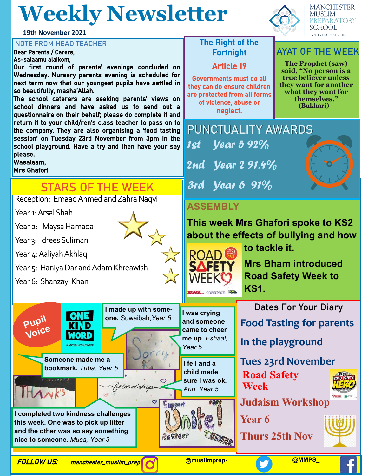## **Weekly Newsletter**

**19th November 2021**

#### **NOTE FROM HEAD TEACHER** THE RIGHT OF the Right of the

Dear Parents / Carers, As-salaamu alaikom,

Our first round of parents' evenings concluded on Wednesday. Nursery parents evening is scheduled for next term now that our youngest pupils have settled in so beautifully, masha'Allah.

The school caterers are seeking parents' views on school dinners and have asked us to send out a questionnaire on their behalf; please do complete it and return it to your child/ren's class teacher to pass on to the company. They are also organising a 'food tasting session' on Tuesday 23rd November from 3pm in the school playground. Have a try and then have your say please.

Wasalaam,

Mrs Ghafori

### **STARS OF THE WEEK**

Reception: Emaad Ahmed and Zahra Naqvi

Year 1: Arsal Shah

Year 2: Maysa Hamada

Year 3: Idrees Suliman

Year 4: Aaliyah Akhlaq

Year 5: Haniya Dar and Adam Khreawish

**I completed two kindness challenges this week. One was to pick up litter and the other was so say something** 

**Someone made me a bookmark.** *Tuba, Year 5* 

**ONE** 

**nice to someone***. Musa, Year 3*

Year 6: Shanzay Khan

**Pupil Voice** 



Article 19

Governments must do all they can do ensure children are protected from all forms of violence, abuse or neglect.

**MANCHESTER MUSLIM PREPARATORY SCHOOL** FAITH . LEARNING . LIFE

#### **AYAT OF THE WEEK**

**The Prophet (saw) said, "No person is a true believer unless they want for another what they want for themselves." (Bukhari)** 

**PUNCTUALITY AWARDS** 1st  $\sqrt{291.4\%}$ 3rd Year 6 91%  <u>Vear 5 92%</u>

#### **ASSEMBLY**

**This week Mrs Ghafori spoke to KS2 about the effects of bullying and how** 

**to tackle it.**



**I was crying and someone came to cheer me up.** *Eshaal,* 

*Year 5*

ඏ

**Support** 

RESPECT

**I fell and a child made sure I was ok.**  *Ann, Year 5*

**Mrs Bham introduced Road Safety Week to** 

**KS1. Dates For Your Diary**

**Food Tasting for parents**

**In the playground**

**Tues 23rd November Road Safety Week**



**Judaism Workshop**

**Year 6** 

**Thurs 25th Nov**



**HANKS** 

FOLLOW US: manchester\_muslim\_prep

friends

c9

**I made up with someone.** Suwaibah,*Year 5*

**@muslimprep- @MMPS\_**